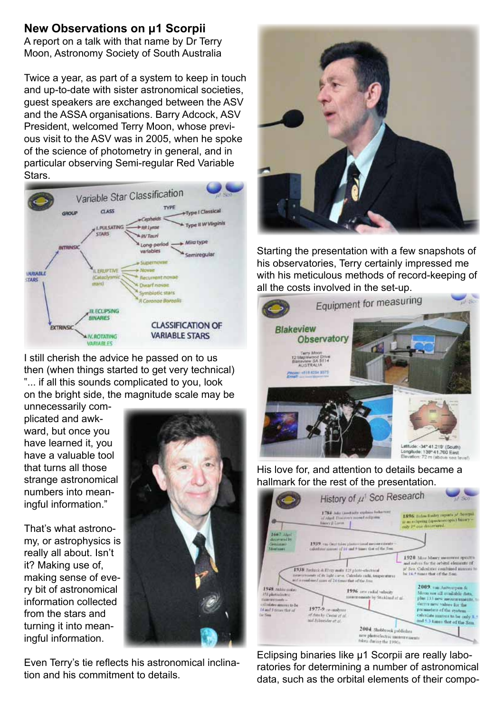## **New Observations on μ1 Scorpii**

A report on a talk with that name by Dr Terry Moon, Astronomy Society of South Australia

Twice a year, as part of a system to keep in touch and up-to-date with sister astronomical societies, guest speakers are exchanged between the ASV and the ASSA organisations. Barry Adcock, ASV President, welcomed Terry Moon, whose previous visit to the ASV was in 2005, when he spoke of the science of photometry in general, and in particular observing Semi-regular Red Variable Stars.



I still cherish the advice he passed on to us then (when things started to get very technical) "... if all this sounds complicated to you, look on the bright side, the magnitude scale may be

unnecessarily complicated and awkward, but once you have learned it, you have a valuable tool that turns all those strange astronomical numbers into meaningful information."

That's what astronomy, or astrophysics is really all about. Isn't it? Making use of, making sense of every bit of astronomical information collected from the stars and turning it into meaningful information.



Even Terry's tie reflects his astronomical inclination and his commitment to details.



Starting the presentation with a few snapshots of his observatories, Terry certainly impressed me with his meticulous methods of record-keeping of



His love for, and attention to details became a hallmark for the rest of the presentation.



Eclipsing binaries like μ1 Scorpii are really laboratories for determining a number of astronomical data, such as the orbital elements of their compo